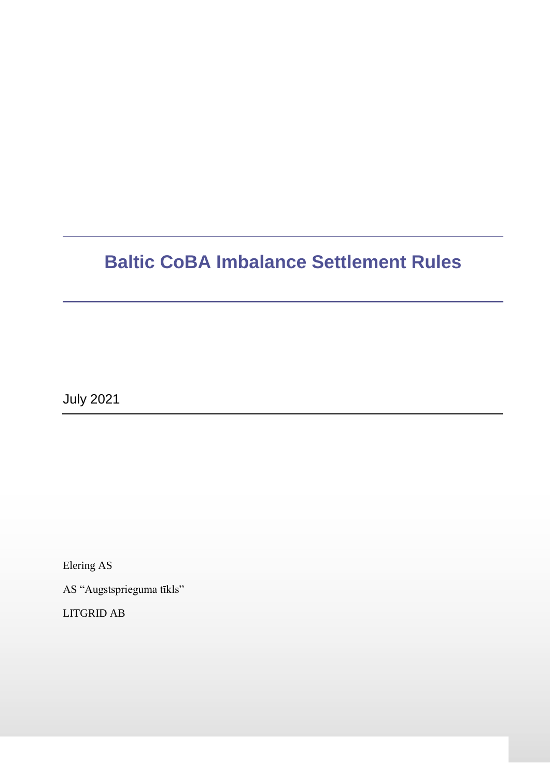# **Baltic CoBA Imbalance Settlement Rules**

July 2021

Elering AS

AS "Augstsprieguma tīkls"

LITGRID AB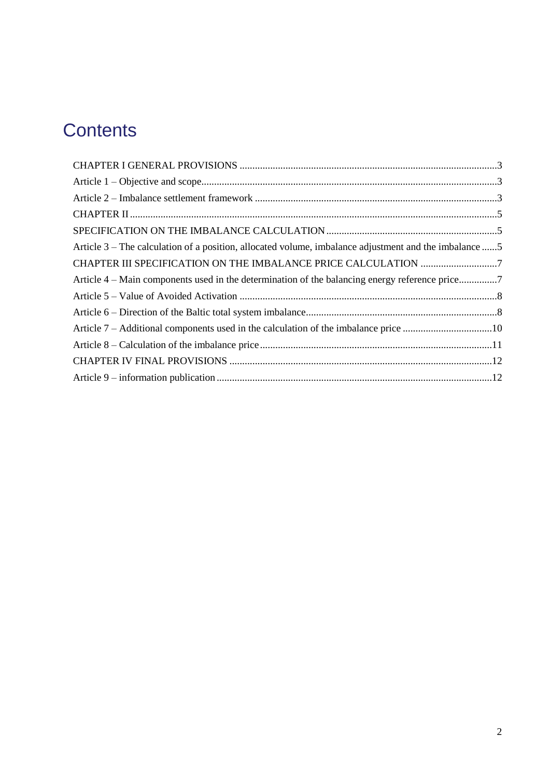# **Contents**

| Article 3 – The calculation of a position, allocated volume, imbalance adjustment and the imbalance 5 |  |
|-------------------------------------------------------------------------------------------------------|--|
|                                                                                                       |  |
| Article 4 – Main components used in the determination of the balancing energy reference price7        |  |
|                                                                                                       |  |
|                                                                                                       |  |
| Article 7 – Additional components used in the calculation of the imbalance price 10                   |  |
|                                                                                                       |  |
|                                                                                                       |  |
|                                                                                                       |  |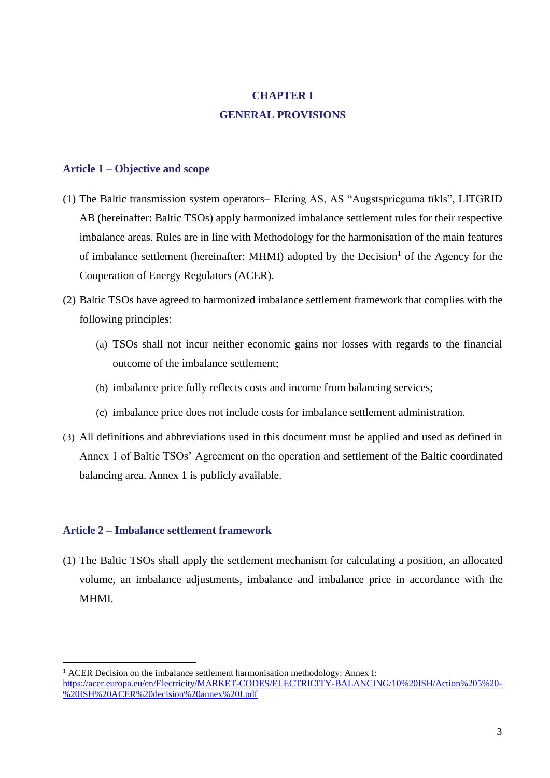## **CHAPTER I GENERAL PROVISIONS**

#### <span id="page-2-1"></span><span id="page-2-0"></span>**Article 1 – Objective and scope**

- (1) The Baltic transmission system operators– Elering AS, AS "Augstsprieguma tīkls", LITGRID AB (hereinafter: Baltic TSOs) apply harmonized imbalance settlement rules for their respective imbalance areas. Rules are in line with Methodology for the harmonisation of the main features of imbalance settlement (hereinafter: MHMI) adopted by the Decision<sup>1</sup> of the Agency for the Cooperation of Energy Regulators (ACER).
- (2) Baltic TSOs have agreed to harmonized imbalance settlement framework that complies with the following principles:
	- (a) TSOs shall not incur neither economic gains nor losses with regards to the financial outcome of the imbalance settlement;
	- (b) imbalance price fully reflects costs and income from balancing services;
	- (c) imbalance price does not include costs for imbalance settlement administration.
- (3) All definitions and abbreviations used in this document must be applied and used as defined in Annex 1 of Baltic TSOs' Agreement on the operation and settlement of the Baltic coordinated balancing area. Annex 1 is publicly available.

#### <span id="page-2-2"></span>**Article 2 – Imbalance settlement framework**

l

(1) The Baltic TSOs shall apply the settlement mechanism for calculating a position, an allocated volume, an imbalance adjustments, imbalance and imbalance price in accordance with the MHMI.

<sup>&</sup>lt;sup>1</sup> ACER Decision on the imbalance settlement harmonisation methodology: Annex I: [https://acer.europa.eu/en/Electricity/MARKET-CODES/ELECTRICITY-BALANCING/10%20ISH/Action%205%20-](https://acer.europa.eu/en/Electricity/MARKET-CODES/ELECTRICITY-BALANCING/10%20ISH/Action%205%20-%20ISH%20ACER%20decision%20annex%20I.pdf) [%20ISH%20ACER%20decision%20annex%20I.pdf](https://acer.europa.eu/en/Electricity/MARKET-CODES/ELECTRICITY-BALANCING/10%20ISH/Action%205%20-%20ISH%20ACER%20decision%20annex%20I.pdf)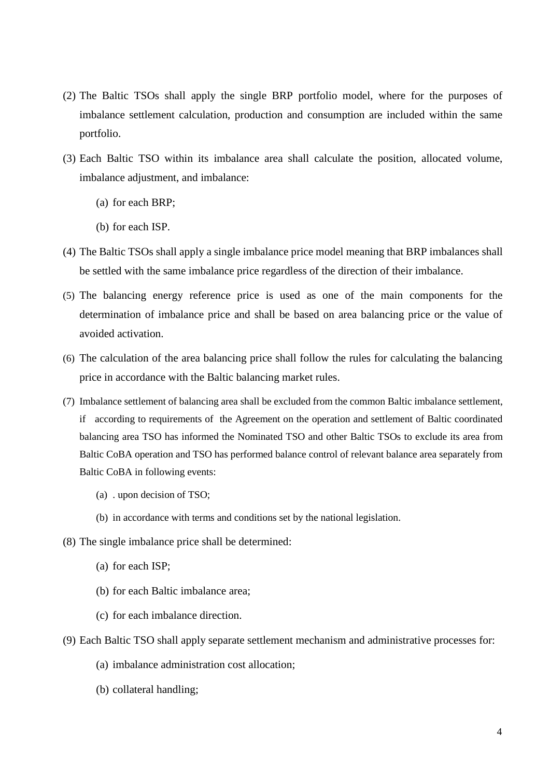- (2) The Baltic TSOs shall apply the single BRP portfolio model, where for the purposes of imbalance settlement calculation, production and consumption are included within the same portfolio.
- (3) Each Baltic TSO within its imbalance area shall calculate the position, allocated volume, imbalance adjustment, and imbalance:
	- (a) for each BRP;
	- (b) for each ISP.
- (4) The Baltic TSOs shall apply a single imbalance price model meaning that BRP imbalances shall be settled with the same imbalance price regardless of the direction of their imbalance.
- (5) The balancing energy reference price is used as one of the main components for the determination of imbalance price and shall be based on area balancing price or the value of avoided activation.
- (6) The calculation of the area balancing price shall follow the rules for calculating the balancing price in accordance with the Baltic balancing market rules.
- (7) Imbalance settlement of balancing area shall be excluded from the common Baltic imbalance settlement, if according to requirements of the Agreement on the operation and settlement of Baltic coordinated balancing area TSO has informed the Nominated TSO and other Baltic TSOs to exclude its area from Baltic CoBA operation and TSO has performed balance control of relevant balance area separately from Baltic CoBA in following events:
	- (a) . upon decision of TSO;
	- (b) in accordance with terms and conditions set by the national legislation.
- (8) The single imbalance price shall be determined:
	- (a) for each ISP;
	- (b) for each Baltic imbalance area;
	- (c) for each imbalance direction.
- (9) Each Baltic TSO shall apply separate settlement mechanism and administrative processes for:
	- (a) imbalance administration cost allocation;
	- (b) collateral handling;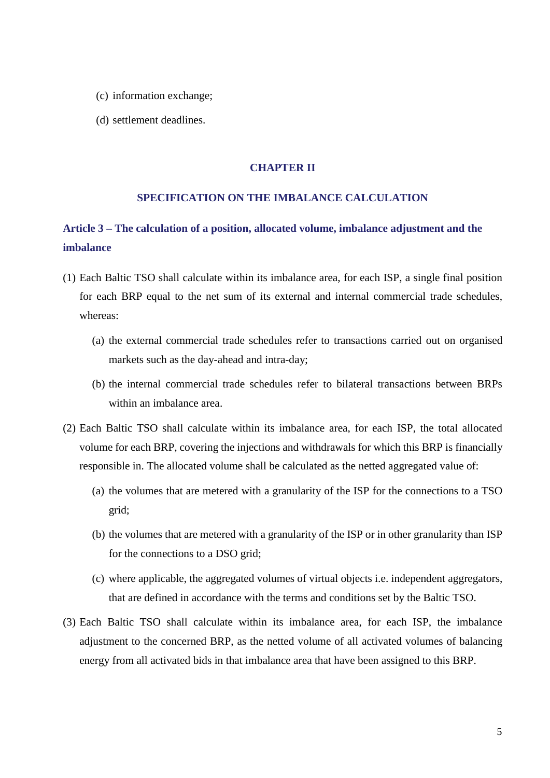- (c) information exchange;
- <span id="page-4-0"></span>(d) settlement deadlines.

#### **CHAPTER II**

#### **SPECIFICATION ON THE IMBALANCE CALCULATION**

## <span id="page-4-2"></span><span id="page-4-1"></span>**Article 3 – The calculation of a position, allocated volume, imbalance adjustment and the imbalance**

- (1) Each Baltic TSO shall calculate within its imbalance area, for each ISP, a single final position for each BRP equal to the net sum of its external and internal commercial trade schedules, whereas:
	- (a) the external commercial trade schedules refer to transactions carried out on organised markets such as the day-ahead and intra-day;
	- (b) the internal commercial trade schedules refer to bilateral transactions between BRPs within an imbalance area.
- (2) Each Baltic TSO shall calculate within its imbalance area, for each ISP, the total allocated volume for each BRP, covering the injections and withdrawals for which this BRP is financially responsible in. The allocated volume shall be calculated as the netted aggregated value of:
	- (a) the volumes that are metered with a granularity of the ISP for the connections to a TSO grid;
	- (b) the volumes that are metered with a granularity of the ISP or in other granularity than ISP for the connections to a DSO grid;
	- (c) where applicable, the aggregated volumes of virtual objects i.e. independent aggregators, that are defined in accordance with the terms and conditions set by the Baltic TSO.
- (3) Each Baltic TSO shall calculate within its imbalance area, for each ISP, the imbalance adjustment to the concerned BRP, as the netted volume of all activated volumes of balancing energy from all activated bids in that imbalance area that have been assigned to this BRP.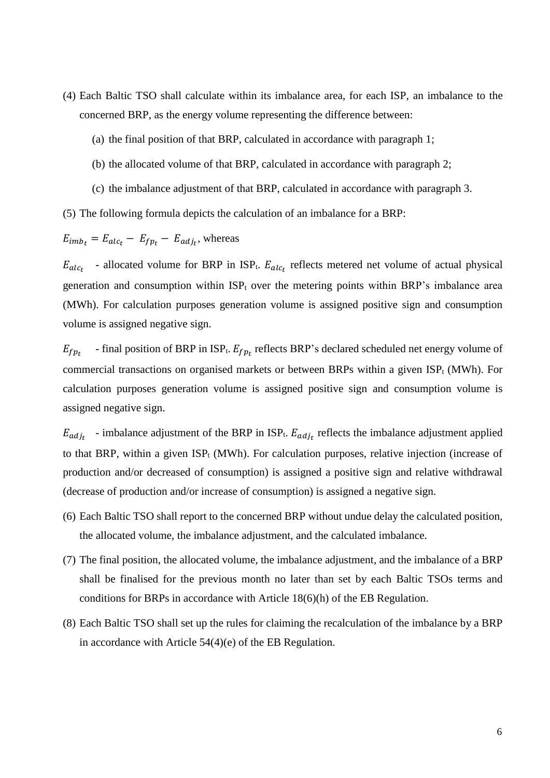- (4) Each Baltic TSO shall calculate within its imbalance area, for each ISP, an imbalance to the concerned BRP, as the energy volume representing the difference between:
	- (a) the final position of that BRP, calculated in accordance with paragraph 1;
	- (b) the allocated volume of that BRP, calculated in accordance with paragraph 2;
	- (c) the imbalance adjustment of that BRP, calculated in accordance with paragraph 3.

(5) The following formula depicts the calculation of an imbalance for a BRP:

$$
E_{imb_t} = E_{alc_t} - E_{fp_t} - E_{adj_t}
$$
, whereas

 $E_{alc_t}$  - allocated volume for BRP in ISP<sub>t</sub>.  $E_{alc_t}$  reflects metered net volume of actual physical generation and consumption within  $ISP_t$  over the metering points within BRP's imbalance area (MWh). For calculation purposes generation volume is assigned positive sign and consumption volume is assigned negative sign.

 $E_{f p_t}$  - final position of BRP in ISP<sub>t</sub>.  $E_{f p_t}$  reflects BRP's declared scheduled net energy volume of commercial transactions on organised markets or between BRPs within a given  $ISP_t$  (MWh). For calculation purposes generation volume is assigned positive sign and consumption volume is assigned negative sign.

 $E_{adj}$  - imbalance adjustment of the BRP in ISP<sub>t</sub>.  $E_{adj}$  reflects the imbalance adjustment applied to that BRP, within a given  $ISP_t$  (MWh). For calculation purposes, relative injection (increase of production and/or decreased of consumption) is assigned a positive sign and relative withdrawal (decrease of production and/or increase of consumption) is assigned a negative sign.

- (6) Each Baltic TSO shall report to the concerned BRP without undue delay the calculated position, the allocated volume, the imbalance adjustment, and the calculated imbalance.
- (7) The final position, the allocated volume, the imbalance adjustment, and the imbalance of a BRP shall be finalised for the previous month no later than set by each Baltic TSOs terms and conditions for BRPs in accordance with Article 18(6)(h) of the EB Regulation.
- (8) Each Baltic TSO shall set up the rules for claiming the recalculation of the imbalance by a BRP in accordance with Article 54(4)(e) of the EB Regulation.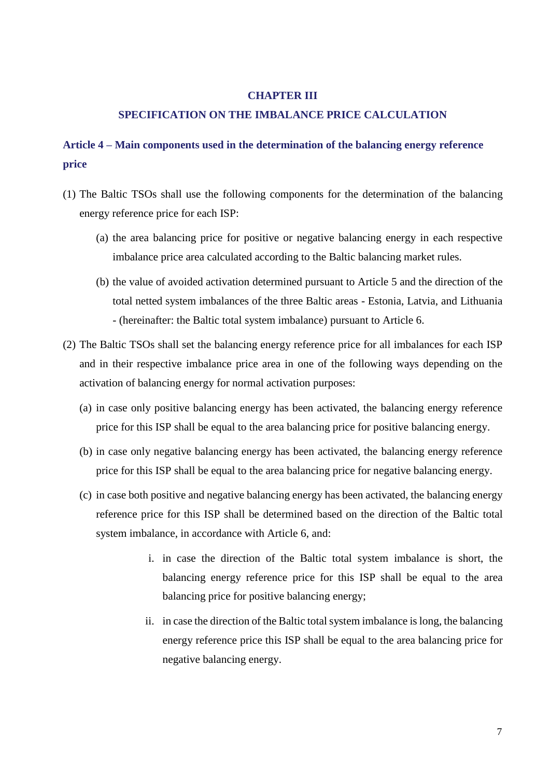#### **CHAPTER III**

#### **SPECIFICATION ON THE IMBALANCE PRICE CALCULATION**

### <span id="page-6-1"></span><span id="page-6-0"></span>**Article 4 – Main components used in the determination of the balancing energy reference price**

- (1) The Baltic TSOs shall use the following components for the determination of the balancing energy reference price for each ISP:
	- (a) the area balancing price for positive or negative balancing energy in each respective imbalance price area calculated according to the Baltic balancing market rules.
	- (b) the value of avoided activation determined pursuant to Article 5 and the direction of the total netted system imbalances of the three Baltic areas - Estonia, Latvia, and Lithuania - (hereinafter: the Baltic total system imbalance) pursuant to Article 6.
- (2) The Baltic TSOs shall set the balancing energy reference price for all imbalances for each ISP and in their respective imbalance price area in one of the following ways depending on the activation of balancing energy for normal activation purposes:
	- (a) in case only positive balancing energy has been activated, the balancing energy reference price for this ISP shall be equal to the area balancing price for positive balancing energy.
	- (b) in case only negative balancing energy has been activated, the balancing energy reference price for this ISP shall be equal to the area balancing price for negative balancing energy.
	- (c) in case both positive and negative balancing energy has been activated, the balancing energy reference price for this ISP shall be determined based on the direction of the Baltic total system imbalance, in accordance with Article 6, and:
		- i. in case the direction of the Baltic total system imbalance is short, the balancing energy reference price for this ISP shall be equal to the area balancing price for positive balancing energy;
		- ii. in case the direction of the Baltic total system imbalance is long, the balancing energy reference price this ISP shall be equal to the area balancing price for negative balancing energy.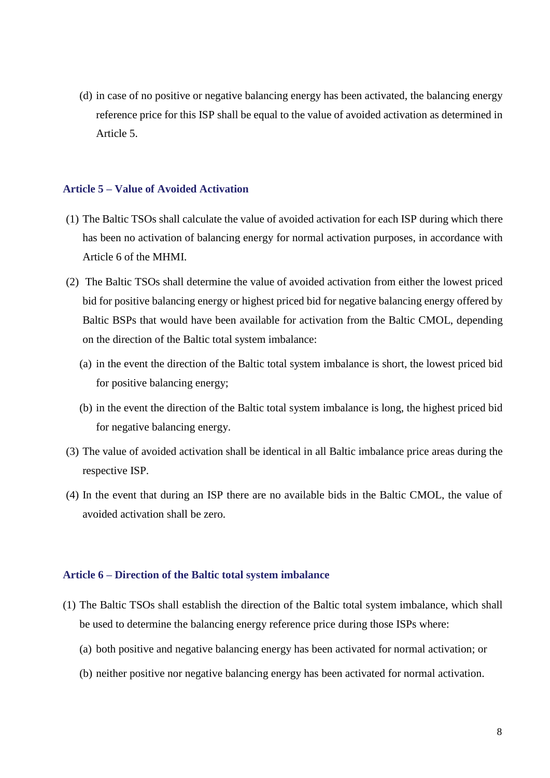(d) in case of no positive or negative balancing energy has been activated, the balancing energy reference price for this ISP shall be equal to the value of avoided activation as determined in Article 5.

#### <span id="page-7-0"></span>**Article 5 – Value of Avoided Activation**

- (1) The Baltic TSOs shall calculate the value of avoided activation for each ISP during which there has been no activation of balancing energy for normal activation purposes, in accordance with Article 6 of the MHMI.
- (2) The Baltic TSOs shall determine the value of avoided activation from either the lowest priced bid for positive balancing energy or highest priced bid for negative balancing energy offered by Baltic BSPs that would have been available for activation from the Baltic CMOL, depending on the direction of the Baltic total system imbalance:
	- (a) in the event the direction of the Baltic total system imbalance is short, the lowest priced bid for positive balancing energy;
	- (b) in the event the direction of the Baltic total system imbalance is long, the highest priced bid for negative balancing energy.
- (3) The value of avoided activation shall be identical in all Baltic imbalance price areas during the respective ISP.
- (4) In the event that during an ISP there are no available bids in the Baltic CMOL, the value of avoided activation shall be zero.

#### <span id="page-7-1"></span>**Article 6 – Direction of the Baltic total system imbalance**

- (1) The Baltic TSOs shall establish the direction of the Baltic total system imbalance, which shall be used to determine the balancing energy reference price during those ISPs where:
	- (a) both positive and negative balancing energy has been activated for normal activation; or
	- (b) neither positive nor negative balancing energy has been activated for normal activation.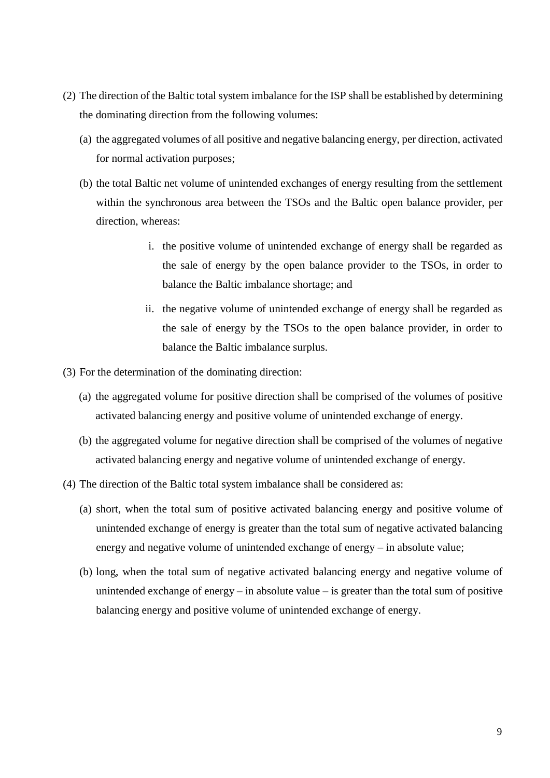- (2) The direction of the Baltic total system imbalance for the ISP shall be established by determining the dominating direction from the following volumes:
	- (a) the aggregated volumes of all positive and negative balancing energy, per direction, activated for normal activation purposes;
	- (b) the total Baltic net volume of unintended exchanges of energy resulting from the settlement within the synchronous area between the TSOs and the Baltic open balance provider, per direction, whereas:
		- i. the positive volume of unintended exchange of energy shall be regarded as the sale of energy by the open balance provider to the TSOs, in order to balance the Baltic imbalance shortage; and
		- ii. the negative volume of unintended exchange of energy shall be regarded as the sale of energy by the TSOs to the open balance provider, in order to balance the Baltic imbalance surplus.
- (3) For the determination of the dominating direction:
	- (a) the aggregated volume for positive direction shall be comprised of the volumes of positive activated balancing energy and positive volume of unintended exchange of energy.
	- (b) the aggregated volume for negative direction shall be comprised of the volumes of negative activated balancing energy and negative volume of unintended exchange of energy.
- (4) The direction of the Baltic total system imbalance shall be considered as:
	- (a) short, when the total sum of positive activated balancing energy and positive volume of unintended exchange of energy is greater than the total sum of negative activated balancing energy and negative volume of unintended exchange of energy – in absolute value;
	- (b) long, when the total sum of negative activated balancing energy and negative volume of unintended exchange of energy – in absolute value – is greater than the total sum of positive balancing energy and positive volume of unintended exchange of energy.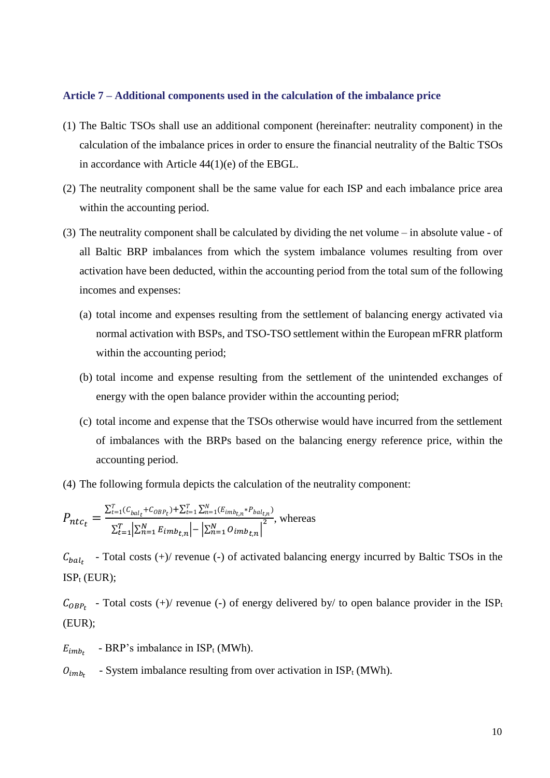#### <span id="page-9-0"></span>**Article 7 – Additional components used in the calculation of the imbalance price**

- (1) The Baltic TSOs shall use an additional component (hereinafter: neutrality component) in the calculation of the imbalance prices in order to ensure the financial neutrality of the Baltic TSOs in accordance with Article 44(1)(e) of the EBGL.
- (2) The neutrality component shall be the same value for each ISP and each imbalance price area within the accounting period.
- (3) The neutrality component shall be calculated by dividing the net volume in absolute value of all Baltic BRP imbalances from which the system imbalance volumes resulting from over activation have been deducted, within the accounting period from the total sum of the following incomes and expenses:
	- (a) total income and expenses resulting from the settlement of balancing energy activated via normal activation with BSPs, and TSO-TSO settlement within the European mFRR platform within the accounting period;
	- (b) total income and expense resulting from the settlement of the unintended exchanges of energy with the open balance provider within the accounting period;
	- (c) total income and expense that the TSOs otherwise would have incurred from the settlement of imbalances with the BRPs based on the balancing energy reference price, within the accounting period.
- (4) The following formula depicts the calculation of the neutrality component:

$$
P_{ntc_t} = \frac{\sum_{t=1}^{T} (C_{bal_t} + C_{OBP_t}) + \sum_{t=1}^{T} \sum_{n=1}^{N} (E_{imb_{t,n}} * P_{bal_{t,n}})}{\sum_{t=1}^{T} \sum_{n=1}^{N} E_{imb_{t,n}} \left| - \sum_{n=1}^{N} O_{imb_{t,n}} \right|^2},
$$
 whereas

 $C_{bal<sub>t</sub>}$  - Total costs (+)/ revenue (-) of activated balancing energy incurred by Baltic TSOs in the  $ISP_t$  (EUR);

 $C_{OBP_t}$  - Total costs (+)/ revenue (-) of energy delivered by/ to open balance provider in the ISP<sub>t</sub> (EUR);

- $E_{imh_{\tau}}$ - BRP's imbalance in  $ISP_t(MWh)$ .
- $O_{imb_{t}}$ - System imbalance resulting from over activation in  $ISP_t(MWh)$ .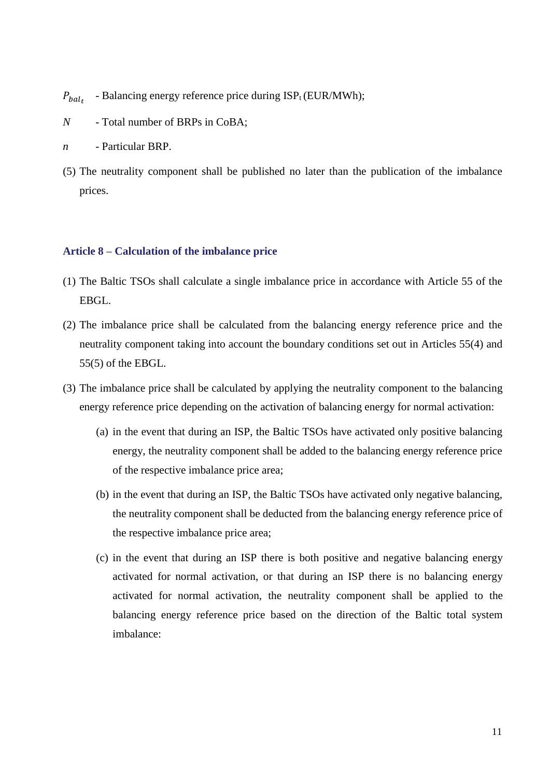$P_{hal_{\tau}}$ - Balancing energy reference price during  $ISP_t(EUR/MWh);$ 

- *N* Total number of BRPs in CoBA;
- *n* Particular BRP.
- (5) The neutrality component shall be published no later than the publication of the imbalance prices.

#### <span id="page-10-0"></span>**Article 8 – Calculation of the imbalance price**

- (1) The Baltic TSOs shall calculate a single imbalance price in accordance with Article 55 of the EBGL.
- (2) The imbalance price shall be calculated from the balancing energy reference price and the neutrality component taking into account the boundary conditions set out in Articles 55(4) and 55(5) of the EBGL.
- (3) The imbalance price shall be calculated by applying the neutrality component to the balancing energy reference price depending on the activation of balancing energy for normal activation:
	- (a) in the event that during an ISP, the Baltic TSOs have activated only positive balancing energy, the neutrality component shall be added to the balancing energy reference price of the respective imbalance price area;
	- (b) in the event that during an ISP, the Baltic TSOs have activated only negative balancing, the neutrality component shall be deducted from the balancing energy reference price of the respective imbalance price area;
	- (c) in the event that during an ISP there is both positive and negative balancing energy activated for normal activation, or that during an ISP there is no balancing energy activated for normal activation, the neutrality component shall be applied to the balancing energy reference price based on the direction of the Baltic total system imbalance: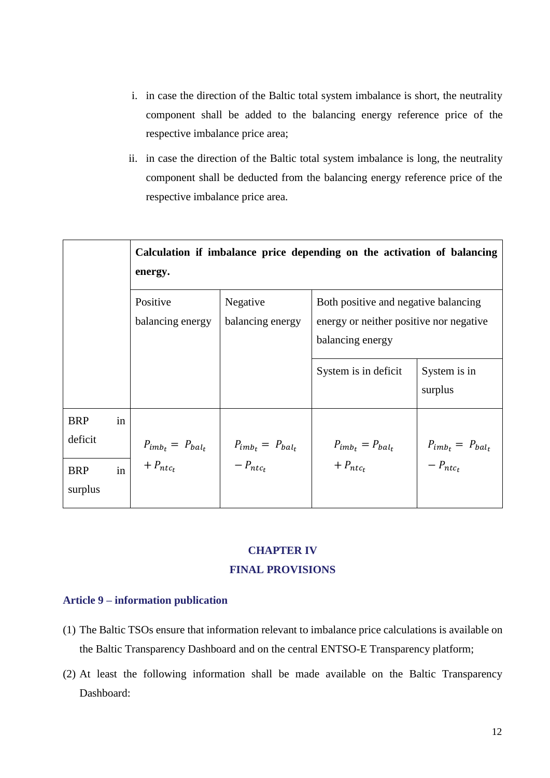- i. in case the direction of the Baltic total system imbalance is short, the neutrality component shall be added to the balancing energy reference price of the respective imbalance price area;
- ii. in case the direction of the Baltic total system imbalance is long, the neutrality component shall be deducted from the balancing energy reference price of the respective imbalance price area.

|                       |    | Calculation if imbalance price depending on the activation of balancing<br>energy. |                              |                                                                                                     |                         |  |
|-----------------------|----|------------------------------------------------------------------------------------|------------------------------|-----------------------------------------------------------------------------------------------------|-------------------------|--|
|                       |    | Positive<br>balancing energy                                                       | Negative<br>balancing energy | Both positive and negative balancing<br>energy or neither positive nor negative<br>balancing energy |                         |  |
|                       |    |                                                                                    |                              | System is in deficit                                                                                | System is in<br>surplus |  |
| <b>BRP</b><br>deficit | in | $P_{imb_t} = P_{bal_t}$                                                            | $P_{imb_t} = P_{bal_t}$      | $P_{imb_t} = P_{bal_t}$                                                                             | $P_{imb_t} = P_{bal_t}$ |  |
| <b>BRP</b><br>surplus | in | $+ P_{ntc_t}$                                                                      | $-P_{ntc_t}$                 | $+ P_{ntc_t}$                                                                                       | $-P_{ntc_t}$            |  |

### **CHAPTER IV FINAL PROVISIONS**

#### <span id="page-11-1"></span><span id="page-11-0"></span>**Article 9 – information publication**

- (1) The Baltic TSOs ensure that information relevant to imbalance price calculations is available on the Baltic Transparency Dashboard and on the central ENTSO-E Transparency platform;
- (2) At least the following information shall be made available on the Baltic Transparency Dashboard: